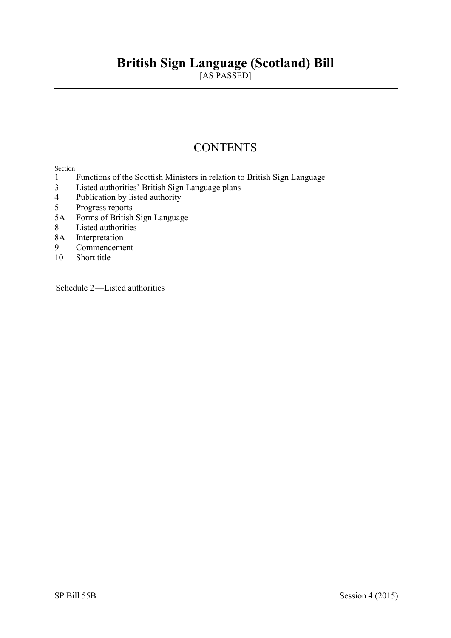# **British Sign Language (Scotland) Bill**

[AS PASSED]

## **CONTENTS**

#### Section

- 1 Functions of the Scottish Ministers in relation to British Sign Language
- 3 Listed authorities' British Sign Language plans
- 4 Publication by listed authority
- 5 Progress reports
- 5A Forms of British Sign Language
- 8 Listed authorities
- 8A Interpretation
- 9 Commencement
- 10 Short title

Schedule 2—Listed authorities

 $\frac{1}{2}$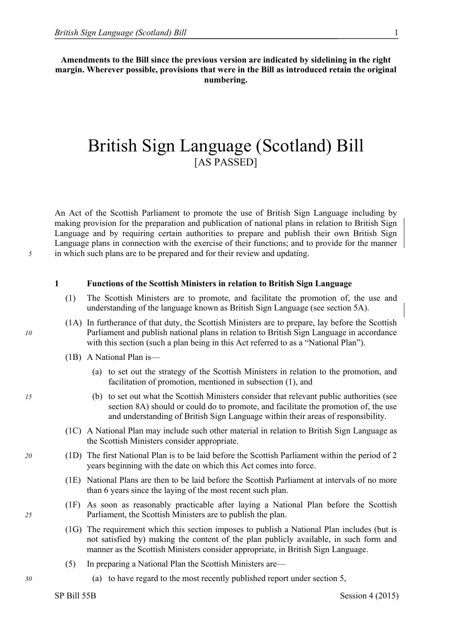**Amendments to the Bill since the previous version are indicated by sidelining in the right margin. Wherever possible, provisions that were in the Bill as introduced retain the original numbering.**

## British Sign Language (Scotland) Bill [AS PASSED]

An Act of the Scottish Parliament to promote the use of British Sign Language including by making provision for the preparation and publication of national plans in relation to British Sign Language and by requiring certain authorities to prepare and publish their own British Sign Language plans in connection with the exercise of their functions; and to provide for the manner *5* in which such plans are to be prepared and for their review and updating.

#### **1 Functions of the Scottish Ministers in relation to British Sign Language**

- (1) The Scottish Ministers are to promote, and facilitate the promotion of, the use and understanding of the language known as British Sign Language (see section 5A).
- (1A) In furtherance of that duty, the Scottish Ministers are to prepare, lay before the Scottish *10* Parliament and publish national plans in relation to British Sign Language in accordance with this section (such a plan being in this Act referred to as a "National Plan").
	- (1B) A National Plan is—
		- (a) to set out the strategy of the Scottish Ministers in relation to the promotion, and facilitation of promotion, mentioned in subsection (1), and
- *15* (b) to set out what the Scottish Ministers consider that relevant public authorities (see section 8A) should or could do to promote, and facilitate the promotion of, the use and understanding of British Sign Language within their areas of responsibility.
	- (1C) A National Plan may include such other material in relation to British Sign Language as the Scottish Ministers consider appropriate.
- *20* (1D) The first National Plan is to be laid before the Scottish Parliament within the period of 2 years beginning with the date on which this Act comes into force.
	- (1E) National Plans are then to be laid before the Scottish Parliament at intervals of no more than 6 years since the laying of the most recent such plan.
- (1F) As soon as reasonably practicable after laying a National Plan before the Scottish *25* Parliament, the Scottish Ministers are to publish the plan.
	- (1G) The requirement which this section imposes to publish a National Plan includes (but is not satisfied by) making the content of the plan publicly available, in such form and manner as the Scottish Ministers consider appropriate, in British Sign Language.
	- (5) In preparing a National Plan the Scottish Ministers are—
- *30* (a) to have regard to the most recently published report under section 5,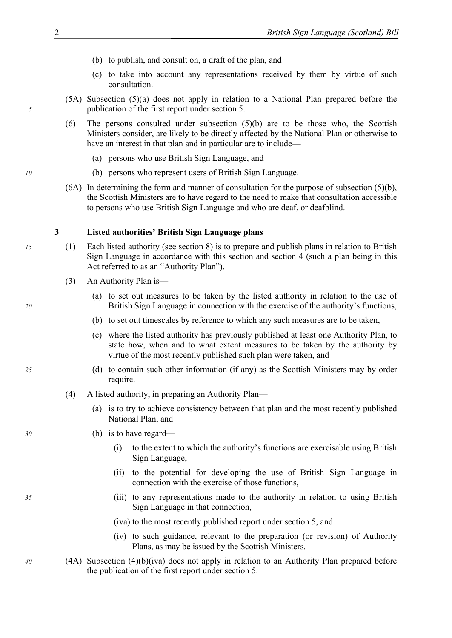- (b) to publish, and consult on, a draft of the plan, and
- (c) to take into account any representations received by them by virtue of such consultation.
- <span id="page-3-0"></span>(5A) Subsection (5)(a) does not apply in relation to a National Plan prepared before the *5* publication of the first report under section 5.
	- (6) The persons consulted under subsection  $(5)(b)$  are to be those who, the Scottish Ministers consider, are likely to be directly affected by the National Plan or otherwise to have an interest in that plan and in particular are to include—
		- (a) persons who use British Sign Language, and
- *10* (b) persons who represent users of British Sign Language.
	- $(6A)$  In determining the form and manner of consultation for the purpose of subsection  $(5)(b)$ , the Scottish Ministers are to have regard to the need to make that consultation accessible to persons who use British Sign Language and who are deaf, or deafblind.

#### **3 Listed authorities' British Sign Language plans**

- *15* (1) Each listed authority (see section [8\)](#page-6-0) is to prepare and publish plans in relation to British Sign Language in accordance with this section and section 4 (such a plan being in this Act referred to as an "Authority Plan").
	- (3) An Authority Plan is—
- (a) to set out measures to be taken by the listed authority in relation to the use of *20* British Sign Language in connection with the exercise of the authority's functions,
	- (b) to set out timescales by reference to which any such measures are to be taken,
	- (c) where the listed authority has previously published at least one Authority Plan, to state how, when and to what extent measures to be taken by the authority by virtue of the most recently published such plan were taken, and
- *25* (d) to contain such other information (if any) as the Scottish Ministers may by order require.
	- (4) A listed authority, in preparing an Authority Plan—
		- (a) is to try to achieve consistency between that plan and the most recently published National Plan, and
- *30* (b) is to have regard—
	- (i) to the extent to which the authority's functions are exercisable using British Sign Language,
	- (ii) to the potential for developing the use of British Sign Language in connection with the exercise of those functions,
- *35* (iii) to any representations made to the authority in relation to using British Sign Language in that connection,
	- (iva) to the most recently published report under section 5, and
	- (iv) to such guidance, relevant to the preparation (or revision) of Authority Plans, as may be issued by the Scottish Ministers.
- *40* (4A) Subsection (4)(b)(iva) does not apply in relation to an Authority Plan prepared before the publication of the first report under section 5.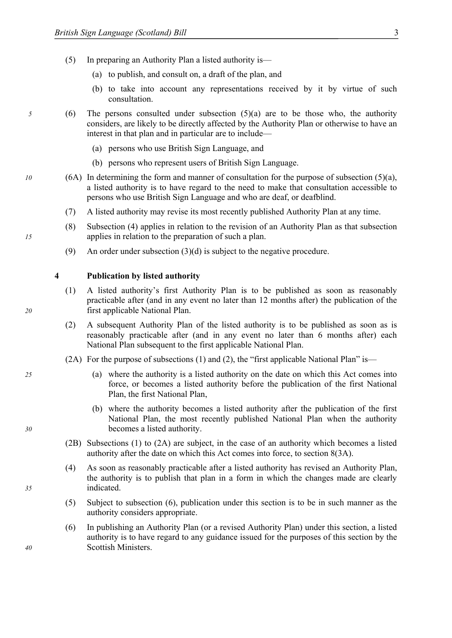- <span id="page-4-0"></span>(5) In preparing an Authority Plan a listed authority is—
	- (a) to publish, and consult on, a draft of the plan, and
	- (b) to take into account any representations received by it by virtue of such consultation.
- *5* (6) The persons consulted under subsection (5)(a) are to be those who, the authority considers, are likely to be directly affected by the Authority Plan or otherwise to have an interest in that plan and in particular are to include—
	- (a) persons who use British Sign Language, and
	- (b) persons who represent users of British Sign Language.
- *10* (6A) In determining the form and manner of consultation for the purpose of subsection (5)(a), a listed authority is to have regard to the need to make that consultation accessible to persons who use British Sign Language and who are deaf, or deafblind.
	- (7) A listed authority may revise its most recently published Authority Plan at any time.
- (8) Subsection [\(4\)](#page-3-0) applies in relation to the revision of an Authority Plan as that subsection *15* applies in relation to the preparation of such a plan.
	- (9) An order under subsection  $(3)(d)$  is subject to the negative procedure.

#### **4 Publication by listed authority**

- (1) A listed authority's first Authority Plan is to be published as soon as reasonably practicable after (and in any event no later than 12 months after) the publication of the *20* first applicable National Plan.
	- (2) A subsequent Authority Plan of the listed authority is to be published as soon as is reasonably practicable after (and in any event no later than 6 months after) each National Plan subsequent to the first applicable National Plan.
	- (2A) For the purpose of subsections (1) and (2), the "first applicable National Plan" is—
- *25* (a) where the authority is a listed authority on the date on which this Act comes into force, or becomes a listed authority before the publication of the first National Plan, the first National Plan,
- (b) where the authority becomes a listed authority after the publication of the first National Plan, the most recently published National Plan when the authority *30* becomes a listed authority.
	- (2B) Subsections (1) to (2A) are subject, in the case of an authority which becomes a listed authority after the date on which this Act comes into force, to section 8(3A).
- (4) As soon as reasonably practicable after a listed authority has revised an Authority Plan, the authority is to publish that plan in a form in which the changes made are clearly *35* indicated.
	- (5) Subject to subsection [\(6\),](#page-4-0) publication under this section is to be in such manner as the authority considers appropriate.
- (6) In publishing an Authority Plan (or a revised Authority Plan) under this section, a listed authority is to have regard to any guidance issued for the purposes of this section by the *40* Scottish Ministers.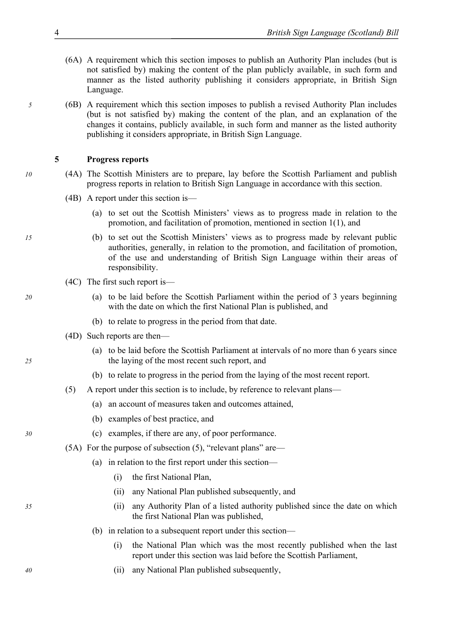- (6A) A requirement which this section imposes to publish an Authority Plan includes (but is not satisfied by) making the content of the plan publicly available, in such form and manner as the listed authority publishing it considers appropriate, in British Sign Language.
- *5* (6B) A requirement which this section imposes to publish a revised Authority Plan includes (but is not satisfied by) making the content of the plan, and an explanation of the changes it contains, publicly available, in such form and manner as the listed authority publishing it considers appropriate, in British Sign Language.

#### **5 Progress reports**

- *10* (4A) The Scottish Ministers are to prepare, lay before the Scottish Parliament and publish progress reports in relation to British Sign Language in accordance with this section.
	- (4B) A report under this section is—
		- (a) to set out the Scottish Ministers' views as to progress made in relation to the promotion, and facilitation of promotion, mentioned in section 1(1), and
- *15* (b) to set out the Scottish Ministers' views as to progress made by relevant public authorities, generally, in relation to the promotion, and facilitation of promotion, of the use and understanding of British Sign Language within their areas of responsibility.
	- (4C) The first such report is—
- *20* (a) to be laid before the Scottish Parliament within the period of 3 years beginning with the date on which the first National Plan is published, and
	- (b) to relate to progress in the period from that date.
	- (4D) Such reports are then—
- (a) to be laid before the Scottish Parliament at intervals of no more than 6 years since *25* the laying of the most recent such report, and
	- (b) to relate to progress in the period from the laying of the most recent report.
	- (5) A report under this section is to include, by reference to relevant plans—
		- (a) an account of measures taken and outcomes attained,
		- (b) examples of best practice, and
- *30* (c) examples, if there are any, of poor performance.
	- (5A) For the purpose of subsection (5), "relevant plans" are—
		- (a) in relation to the first report under this section—
			- (i) the first National Plan,
			- (ii) any National Plan published subsequently, and
- *35* (ii) any Authority Plan of a listed authority published since the date on which the first National Plan was published,
	- (b) in relation to a subsequent report under this section—
		- (i) the National Plan which was the most recently published when the last report under this section was laid before the Scottish Parliament,
- *40* (ii) any National Plan published subsequently,

- 
-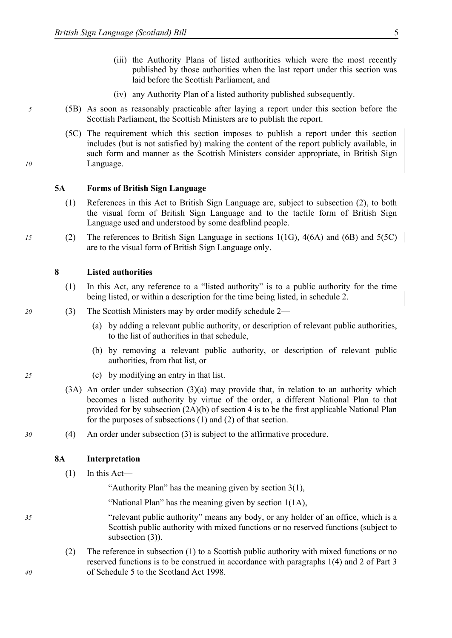- (iii) the Authority Plans of listed authorities which were the most recently published by those authorities when the last report under this section was laid before the Scottish Parliament, and
- (iv) any Authority Plan of a listed authority published subsequently.
- <span id="page-6-1"></span>*5* (5B) As soon as reasonably practicable after laying a report under this section before the Scottish Parliament, the Scottish Ministers are to publish the report.
- (5C) The requirement which this section imposes to publish a report under this section includes (but is not satisfied by) making the content of the report publicly available, in such form and manner as the Scottish Ministers consider appropriate, in British Sign *10* Language.

#### **5A Forms of British Sign Language**

- (1) References in this Act to British Sign Language are, subject to subsection (2), to both the visual form of British Sign Language and to the tactile form of British Sign Language used and understood by some deafblind people.
- *15* (2) The references to British Sign Language in sections 1(1G), 4(6A) and (6B) and 5(5C) are to the visual form of British Sign Language only.

#### **8 Listed authorities**

- <span id="page-6-0"></span>(1) In this Act, any reference to a "listed authority" is to a public authority for the time being listed, or within a description for the time being listed, in schedule [2.](#page-8-0)
- *20* (3) The Scottish Ministers may by order modify schedule [2](#page-8-0)
	- (a) by adding a relevant public authority, or description of relevant public authorities, to the list of authorities in that schedule,
	- (b) by removing a relevant public authority, or description of relevant public authorities, from that list, or
- *25* (c) by modifying an entry in that list.
	- (3A) An order under subsection (3)(a) may provide that, in relation to an authority which becomes a listed authority by virtue of the order, a different National Plan to that provided for by subsection (2A)(b) of section 4 is to be the first applicable National Plan for the purposes of subsections (1) and (2) of that section.
- *30* (4) An order under subsection [\(3\)](#page-6-1) is subject to the affirmative procedure.

#### **8A Interpretation**

 $(1)$  In this Act—

"Authority Plan" has the meaning given by section 3(1),

"National Plan" has the meaning given by section 1(1A),

*35* "relevant public authority" means any body, or any holder of an office, which is a Scottish public authority with mixed functions or no reserved functions (subject to subsection (3)).

(2) The reference in subsection (1) to a Scottish public authority with mixed functions or no reserved functions is to be construed in accordance with paragraphs 1(4) and 2 of Part 3 *40* of Schedule 5 to the Scotland Act 1998.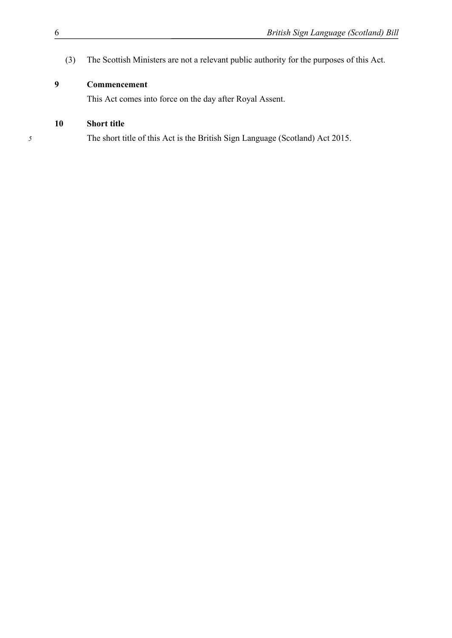(3) The Scottish Ministers are not a relevant public authority for the purposes of this Act.

### **Commencement**

This Act comes into force on the day after Royal Assent.

### **Short title**

The short title of this Act is the British Sign Language (Scotland) Act 2015.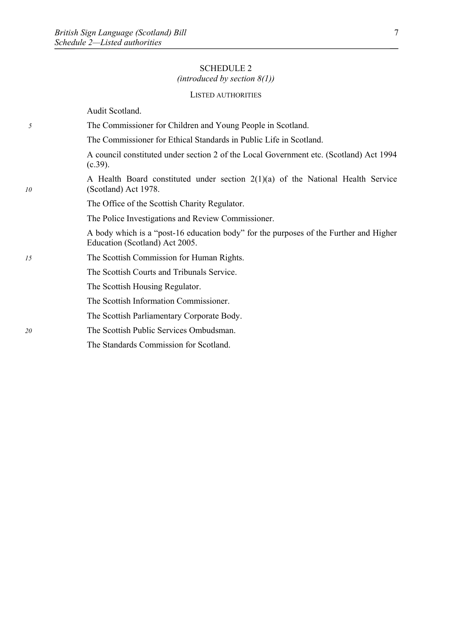#### SCHEDULE 2

### *(introduced by section 8(1))*

#### LISTED AUTHORITIES

<span id="page-8-0"></span>

|    | Audit Scotland.                                                                                                         |
|----|-------------------------------------------------------------------------------------------------------------------------|
| 5  | The Commissioner for Children and Young People in Scotland.                                                             |
|    | The Commissioner for Ethical Standards in Public Life in Scotland.                                                      |
|    | A council constituted under section 2 of the Local Government etc. (Scotland) Act 1994<br>$(c.39)$ .                    |
| 10 | A Health Board constituted under section $2(1)(a)$ of the National Health Service<br>(Scotland) Act 1978.               |
|    | The Office of the Scottish Charity Regulator.                                                                           |
|    | The Police Investigations and Review Commissioner.                                                                      |
|    | A body which is a "post-16 education body" for the purposes of the Further and Higher<br>Education (Scotland) Act 2005. |
| 15 | The Scottish Commission for Human Rights.                                                                               |
|    | The Scottish Courts and Tribunals Service.                                                                              |
|    | The Scottish Housing Regulator.                                                                                         |
|    | The Scottish Information Commissioner.                                                                                  |
|    | The Scottish Parliamentary Corporate Body.                                                                              |
| 20 | The Scottish Public Services Ombudsman.                                                                                 |

The Standards Commission for Scotland.